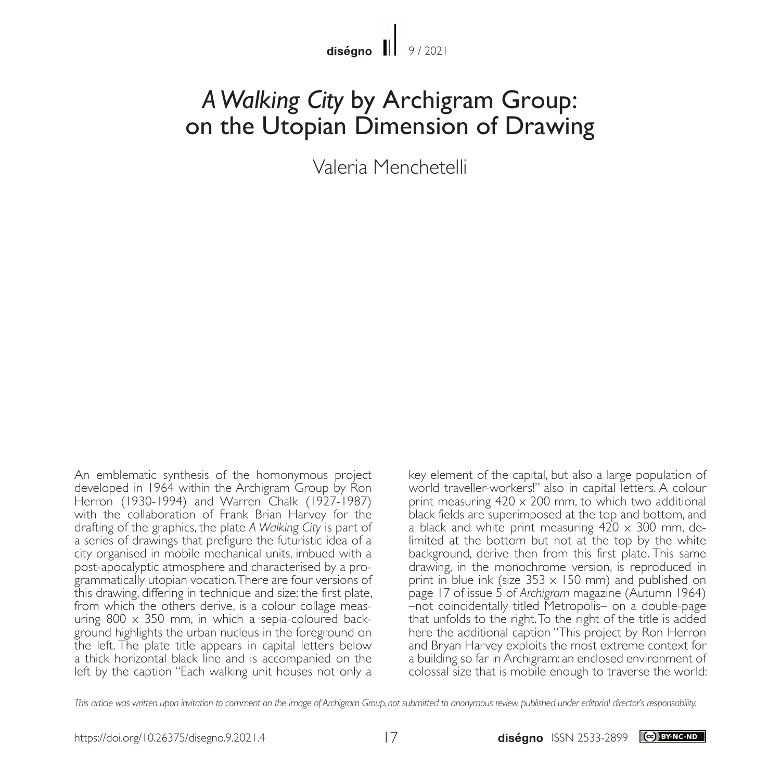## *A Walking City* by Archigram Group: on the Utopian Dimension of Drawing

Valeria Menchetelli

An emblematic synthesis of the homonymous project developed in 1964 within the Archigram Group by Ron Herron (1930-1994) and Warren Chalk (1927-1987) with the collaboration of Frank Brian Harvey for the drafting of the graphics, the plate *A Walking City* is part of a series of drawings that prefigure the futuristic idea of a city organised in mobile mechanical units, imbued with a post-apocalyptic atmosphere and characterised by a programmatically utopian vocation. There are four versions of this drawing, differing in technique and size: the first plate, from which the others derive, is a colour collage measuring 800  $\times$  350 mm, in which a sepia-coloured back-<br>ground highlights the urban nucleus in the foreground on the left. The plate title appears in capital letters below a thick horizontal black line and is accompanied on the left by the caption "Each walking unit houses not only a

key element of the capital, but also a large population of world traveller-workers!" also in capital letters. A colour print measuring  $420 \times 200$  mm, to which two additional black fields are superimposed at the top and bottom, and a black and white print measuring  $420 \times 300$  mm, delimited at the bottom but not at the top by the white background, derive then from this first plate. This same drawing, in the monochrome version, is reproduced in print in blue ink (size  $353 \times 150$  mm) and published on page 17 of issue 5 of *Archigram* magazine (Autumn 1964) –not coincidentally titled Metropolis– on a double-page that unfolds to the right. To the right of the title is added here the additional caption "This project by Ron Herron and Bryan Harvey exploits the most extreme context for a building so far in Archigram: an enclosed environment of colossal size that is mobile enough to traverse the world:

*This article was written upon invitation to comment on the image of Archigram Group, not submitted to anonymous review, published under editorial director's responsability.*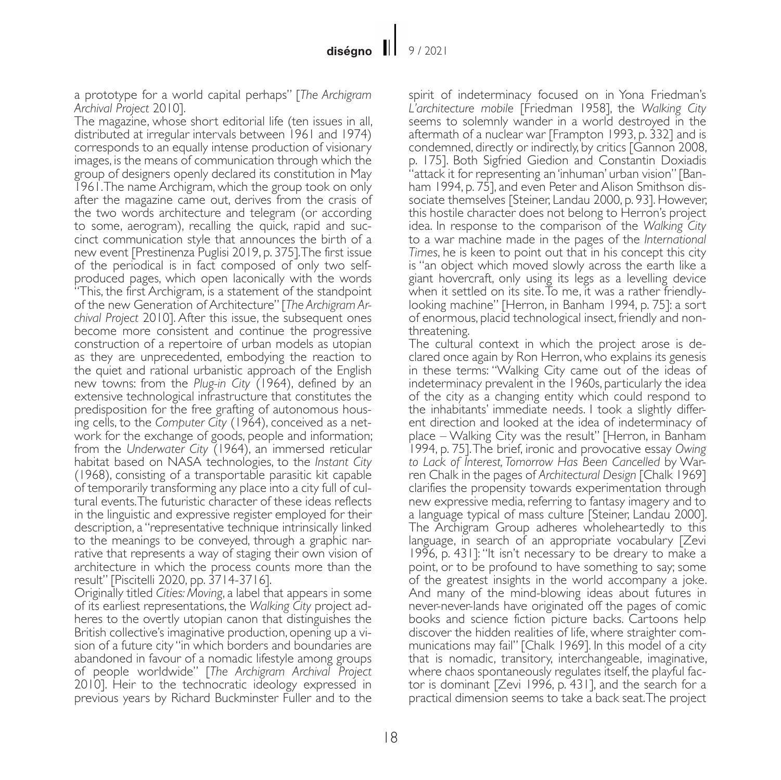a prototype for a world capital perhaps" [*The Archigram Archival Project* 2010].

The magazine, whose short editorial life (ten issues in all, distributed at irregular intervals between 1961 and 1974) corresponds to an equally intense production of visionary images, is the means of communication through which the group of designers openly declared its constitution in May 1961. The name Archigram, which the group took on only after the magazine came out, derives from the crasis of the two words architecture and telegram (or according to some, aerogram), recalling the quick, rapid and succinct communication style that announces the birth of a new event [Prestinenza Puglisi 2019, p. 375]. The first issue of the periodical is in fact composed of only two selfproduced pages, which open laconically with the words "This, the first Archigram, is a statement of the standpoint of the new Generation of Architecture" [*The Archigram Archival Project* 2010]. After this issue, the subsequent ones become more consistent and continue the progressive construction of a repertoire of urban models as utopian as they are unprecedented, embodying the reaction to the quiet and rational urbanistic approach of the English new towns: from the *Plug-in City* (1964), defined by an extensive technological infrastructure that constitutes the predisposition for the free grafting of autonomous housing cells, to the *Computer City* (1964), conceived as a network for the exchange of goods, people and information; from the *Underwater City* (1964), an immersed reticular habitat based on NASA technologies, to the *Instant City* (1968), consisting of a transportable parasitic kit capable of temporarily transforming any place into a city full of cultural events. The futuristic character of these ideas reflects in the linguistic and expressive register employed for their description, a "representative technique intrinsically linked to the meanings to be conveyed, through a graphic narrative that represents a way of staging their own vision of architecture in which the process counts more than the result" [Piscitelli 2020, pp. 3714-3716].

Originally titled *Cities: Moving*, a label that appears in some of its earliest representations, the *Walking City* project ad- heres to the overtly utopian canon that distinguishes the British collective's imaginative production, opening up a vision of a future city "in which borders and boundaries are abandoned in favour of a nomadic lifestyle among groups of people worldwide" [*The Archigram Archival Project*  2010]. Heir to the technocratic ideology expressed in previous years by Richard Buckminster Fuller and to the spirit of indeterminacy focused on in Yona Friedman's *L'architecture mobile* [Friedman 1958], the *Walking City* seems to solemnly wander in a world destroyed in the aftermath of a nuclear war [Frampton 1993, p. 332] and is condemned, directly or indirectly, by critics [Gannon 2008, p. 175]. Both Sigfried Giedion and Constantin Doxiadis "attack it for representing an 'inhuman' urban vision" [Banham 1994, p. 75], and even Peter and Alison Smithson dissociate themselves [Steiner, Landau 2000, p. 93]. However, this hostile character does not belong to Herron's project idea. In response to the comparison of the *Walking City* to a war machine made in the pages of the *International Times*, he is keen to point out that in his concept this city is "an object which moved slowly across the earth like a giant hovercraft, only using its legs as a levelling device when it settled on its site. To me, it was a rather friendlylooking machine" [Herron, in Banham 1994, p. 75]: a sort of enormous, placid technological insect, friendly and nonthreatening.

The cultural context in which the project arose is declared once again by Ron Herron, who explains its genesis in these terms: "Walking City came out of the ideas of indeterminacy prevalent in the 1960s, particularly the idea of the city as a changing entity which could respond to the inhabitants' immediate needs. I took a slightly different direction and looked at the idea of indeterminacy of place – Walking City was the result" [Herron, in Banham 1994, p. 75]. The brief, ironic and provocative essay *Owing to Lack of Interest, Tomorrow Has Been Cancelled* by Warren Chalk in the pages of *Architectural Design* [Chalk 1969] clarifies the propensity towards experimentation through new expressive media, referring to fantasy imagery and to a language typical of mass culture [Steiner, Landau 2000]. The Archigram Group adheres wholeheartedly to this language, in search of an appropriate vocabulary [Zevi 1996, p. 431]: "It isn't necessary to be dreary to make a point, or to be profound to have something to say; some of the greatest insights in the world accompany a joke. And many of the mind-blowing ideas about futures in never-never-lands have originated off the pages of comic books and science fiction picture backs. Cartoons help discover the hidden realities of life, where straighter communications may fail" [Chalk 1969]. In this model of a city that is nomadic, transitory, interchangeable, imaginative, tor is dominant [Zevi 1996, p. 431], and the search for a practical dimension seems to take a back seat. The project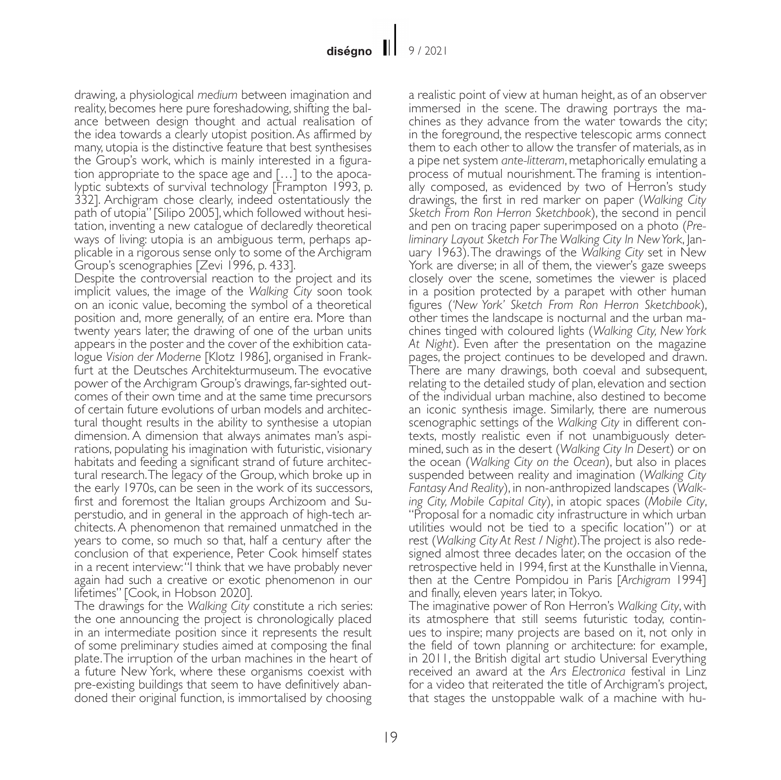drawing, a physiological *medium* between imagination and reality, becomes here pure foreshadowing, shifting the balance between design thought and actual realisation of the idea towards a clearly utopist position. As affirmed by many, utopia is the distinctive feature that best synthesises the Group's work, which is mainly interested in a figuration appropriate to the space age and […] to the apocalyptic subtexts of survival technology [Frampton 1993, p. 332]. Archigram chose clearly, indeed ostentatiously the path of utopia" [Silipo 2005], which followed without hesitation, inventing a new catalogue of declaredly theoretical ways of living: utopia is an ambiguous term, perhaps applicable in a rigorous sense only to some of the Archigram Group's scenographies [Zevi 1996, p. 433].

Despite the controversial reaction to the project and its implicit values, the image of the *Walking City* soon took on an iconic value, becoming the symbol of a theoretical position and, more generally, of an entire era. More than twenty years later, the drawing of one of the urban units appears in the poster and the cover of the exhibition catalogue *Vision der Moderne* [Klotz 1986], organised in Frankfurt at the Deutsches Architekturmuseum. The evocative power of the Archigram Group's drawings, far-sighted outcomes of their own time and at the same time precursors of certain future evolutions of urban models and architectural thought results in the ability to synthesise a utopian dimension. A dimension that always animates man's aspi- rations, populating his imagination with futuristic, visionary habitats and feeding a significant strand of future architectural research. The legacy of the Group, which broke up in the early 1970s, can be seen in the work of its successors, first and foremost the Italian groups Archizoom and Superstudio, and in general in the approach of high-tech architects. A phenomenon that remained unmatched in the years to come, so much so that, half a century after the conclusion of that experience, Peter Cook himself states in a recent interview: "I think that we have probably never again had such a creative or exotic phenomenon in our lifetimes" [Cook, in Hobson 2020].

The drawings for the *Walking City* constitute a rich series: the one announcing the project is chronologically placed in an intermediate position since it represents the result of some preliminary studies aimed at composing the final plate. The irruption of the urban machines in the heart of a future New York, where these organisms coexist with pre-existing buildings that seem to have definitively abandoned their original function, is immortalised by choosing a realistic point of view at human height, as of an observer immersed in the scene. The drawing portrays the machines as they advance from the water towards the city; in the foreground, the respective telescopic arms connect them to each other to allow the transfer of materials, as in a pipe net system *ante-litteram*, metaphorically emulating a process of mutual nourishment. The framing is intentionally composed, as evidenced by two of Herron's study drawings, the first in red marker on paper (*Walking City Sketch From Ron Herron Sketchbook*), the second in pencil and pen on tracing paper superimposed on a photo (*Preliminary Layout Sketch For The Walking City In New York*, January 1963). The drawings of the *Walking City* set in New York are diverse; in all of them, the viewer's gaze sweeps closely over the scene, sometimes the viewer is placed in a position protected by a parapet with other human figures (*'New York' Sketch From Ron Herron Sketchbook*), other times the landscape is nocturnal and the urban machines tinged with coloured lights (*Walking City, New York At Night*). Even after the presentation on the magazine pages, the project continues to be developed and drawn. There are many drawings, both coeval and subsequent, relating to the detailed study of plan, elevation and section of the individual urban machine, also destined to become an iconic synthesis image. Similarly, there are numerous scenographic settings of the *Walking City* in different conmined, such as in the desert (*Walking City In Desert*) or on the ocean (*Walking City on the Ocean*), but also in places suspended between reality and imagination (*Walking City Fantasy And Reality*), in non-anthropized landscapes (*Walking City, Mobile Capital City*), in atopic spaces (*Mobile City*, "Proposal for a nomadic city infrastructure in which urban utilities would not be tied to a specific location") or at rest (*Walking City At Rest / Night*). The project is also redesigned almost three decades later, on the occasion of the retrospective held in 1994, first at the Kunsthalle in Vienna, then at the Centre Pompidou in Paris [*Archigram* 1994] and finally, eleven years later, in Tokyo.

The imaginative power of Ron Herron's *Walking City*, with its atmosphere that still seems futuristic today, continues to inspire; many projects are based on it, not only in the field of town planning or architecture: for example, in 2011, the British digital art studio Universal Everything received an award at the *Ars Electronica* festival in Linz for a video that reiterated the title of Archigram's project, that stages the unstoppable walk of a machine with hu